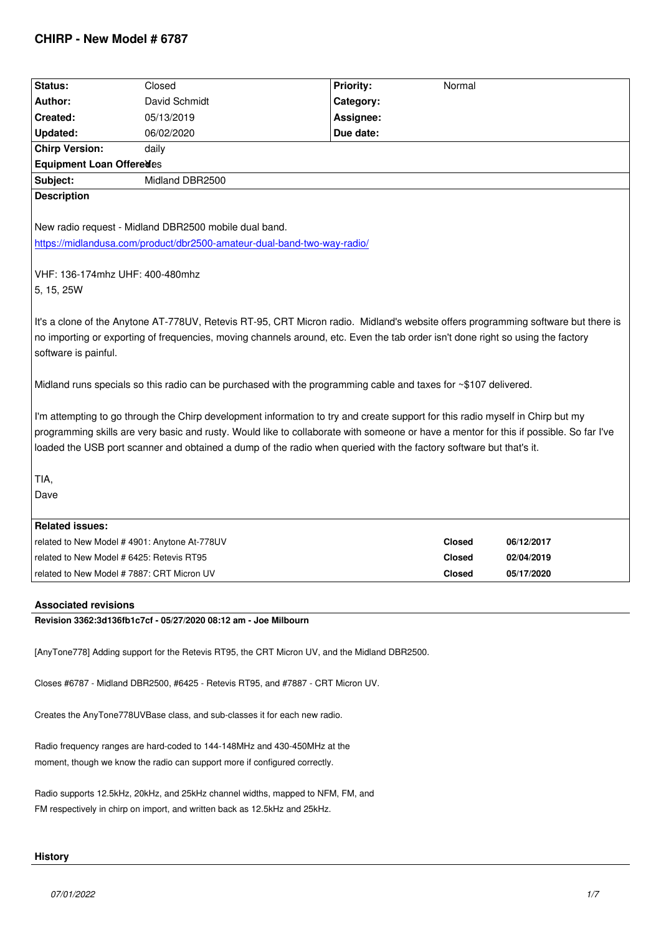| Status:                                                                                                                                                                                                                                                                                                                                                                                        | Closed          | <b>Priority:</b> | Normal        |            |  |  |
|------------------------------------------------------------------------------------------------------------------------------------------------------------------------------------------------------------------------------------------------------------------------------------------------------------------------------------------------------------------------------------------------|-----------------|------------------|---------------|------------|--|--|
| Author:                                                                                                                                                                                                                                                                                                                                                                                        | David Schmidt   | Category:        |               |            |  |  |
| Created:                                                                                                                                                                                                                                                                                                                                                                                       | 05/13/2019      | Assignee:        |               |            |  |  |
| Updated:                                                                                                                                                                                                                                                                                                                                                                                       | 06/02/2020      | Due date:        |               |            |  |  |
| <b>Chirp Version:</b>                                                                                                                                                                                                                                                                                                                                                                          | daily           |                  |               |            |  |  |
| Equipment Loan Offeredes                                                                                                                                                                                                                                                                                                                                                                       |                 |                  |               |            |  |  |
| Subject:                                                                                                                                                                                                                                                                                                                                                                                       | Midland DBR2500 |                  |               |            |  |  |
| <b>Description</b>                                                                                                                                                                                                                                                                                                                                                                             |                 |                  |               |            |  |  |
| New radio request - Midland DBR2500 mobile dual band.                                                                                                                                                                                                                                                                                                                                          |                 |                  |               |            |  |  |
| https://midlandusa.com/product/dbr2500-amateur-dual-band-two-way-radio/                                                                                                                                                                                                                                                                                                                        |                 |                  |               |            |  |  |
| VHF: 136-174mhz UHF: 400-480mhz<br>5, 15, 25W                                                                                                                                                                                                                                                                                                                                                  |                 |                  |               |            |  |  |
| It's a clone of the Anytone AT-778UV, Retevis RT-95, CRT Micron radio. Midland's website offers programming software but there is<br>no importing or exporting of frequencies, moving channels around, etc. Even the tab order isn't done right so using the factory<br>software is painful.                                                                                                   |                 |                  |               |            |  |  |
| Midland runs specials so this radio can be purchased with the programming cable and taxes for ~\$107 delivered.                                                                                                                                                                                                                                                                                |                 |                  |               |            |  |  |
| I'm attempting to go through the Chirp development information to try and create support for this radio myself in Chirp but my<br>programming skills are very basic and rusty. Would like to collaborate with someone or have a mentor for this if possible. So far I've<br>loaded the USB port scanner and obtained a dump of the radio when queried with the factory software but that's it. |                 |                  |               |            |  |  |
| TIA,                                                                                                                                                                                                                                                                                                                                                                                           |                 |                  |               |            |  |  |
| Dave                                                                                                                                                                                                                                                                                                                                                                                           |                 |                  |               |            |  |  |
| <b>Related issues:</b>                                                                                                                                                                                                                                                                                                                                                                         |                 |                  |               |            |  |  |
| related to New Model # 4901: Anytone At-778UV                                                                                                                                                                                                                                                                                                                                                  |                 |                  | <b>Closed</b> | 06/12/2017 |  |  |
| related to New Model # 6425: Retevis RT95                                                                                                                                                                                                                                                                                                                                                      |                 |                  | <b>Closed</b> | 02/04/2019 |  |  |
| related to New Model #7887: CRT Micron UV                                                                                                                                                                                                                                                                                                                                                      |                 |                  | Closed        | 05/17/2020 |  |  |
| <b>Associated revisions</b>                                                                                                                                                                                                                                                                                                                                                                    |                 |                  |               |            |  |  |

## **Revision 3362:3d136fb1c7cf - 05/27/2020 08:12 am - Joe Milbourn**

*[AnyTone778] Adding support for the Retevis RT95, the CRT Micron UV, and the Midland DBR2500.*

*Closes #6787 - Midland DBR2500, #6425 - Retevis RT95, and #7887 - CRT Micron UV.*

*Creates the AnyTone778UVBase class, and sub-classes it for each new radio.*

*Radio frequency ranges are hard-coded to 144-148MHz and 430-450MHz at the moment, though we know the radio can support more if configured correctly.*

*Radio supports 12.5kHz, 20kHz, and 25kHz channel widths, mapped to NFM, FM, and FM respectively in chirp on import, and written back as 12.5kHz and 25kHz.*

# **History**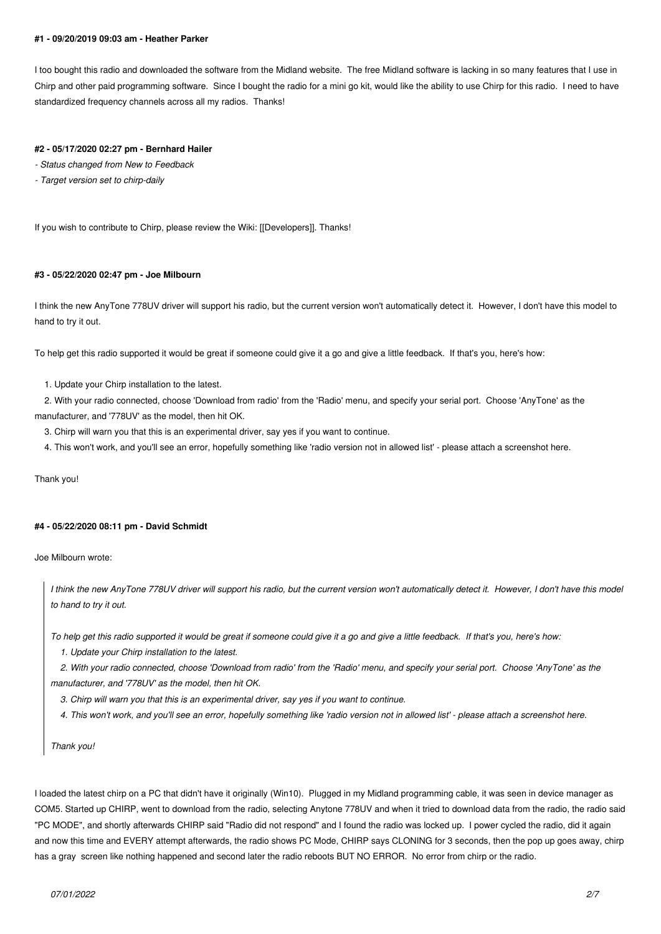#### **#1 - 09/20/2019 09:03 am - Heather Parker**

*I too bought this radio and downloaded the software from the Midland website. The free Midland software is lacking in so many features that I use in Chirp and other paid programming software. Since I bought the radio for a mini go kit, would like the ability to use Chirp for this radio. I need to have standardized frequency channels across all my radios. Thanks!*

#### **#2 - 05/17/2020 02:27 pm - Bernhard Hailer**

- *Status changed from New to Feedback*
- *Target version set to chirp-daily*

*If you wish to contribute to Chirp, please review the Wiki: [[Developers]]. Thanks!*

### **#3 - 05/22/2020 02:47 pm - Joe Milbourn**

*I think the new AnyTone 778UV driver will support his radio, but the current version won't automatically detect it. However, I don't have this model to hand to try it out.*

*To help get this radio supported it would be great if someone could give it a go and give a little feedback. If that's you, here's how:*

 *1. Update your Chirp installation to the latest.*

 *2. With your radio connected, choose 'Download from radio' from the 'Radio' menu, and specify your serial port. Choose 'AnyTone' as the manufacturer, and '778UV' as the model, then hit OK.*

- *3. Chirp will warn you that this is an experimental driver, say yes if you want to continue.*
- *4. This won't work, and you'll see an error, hopefully something like 'radio version not in allowed list' please attach a screenshot here.*

*Thank you!*

### **#4 - 05/22/2020 08:11 pm - David Schmidt**

*Joe Milbourn wrote:*

*I think the new AnyTone 778UV driver will support his radio, but the current version won't automatically detect it. However, I don't have this model to hand to try it out.*

*To help get this radio supported it would be great if someone could give it a go and give a little feedback. If that's you, here's how:*

 *1. Update your Chirp installation to the latest.*

 *2. With your radio connected, choose 'Download from radio' from the 'Radio' menu, and specify your serial port. Choose 'AnyTone' as the manufacturer, and '778UV' as the model, then hit OK.*

 *3. Chirp will warn you that this is an experimental driver, say yes if you want to continue.*

 *4. This won't work, and you'll see an error, hopefully something like 'radio version not in allowed list' - please attach a screenshot here.*

*Thank you!*

*I loaded the latest chirp on a PC that didn't have it originally (Win10). Plugged in my Midland programming cable, it was seen in device manager as COM5. Started up CHIRP, went to download from the radio, selecting Anytone 778UV and when it tried to download data from the radio, the radio said "PC MODE", and shortly afterwards CHIRP said "Radio did not respond" and I found the radio was locked up. I power cycled the radio, did it again and now this time and EVERY attempt afterwards, the radio shows PC Mode, CHIRP says CLONING for 3 seconds, then the pop up goes away, chirp has a gray screen like nothing happened and second later the radio reboots BUT NO ERROR. No error from chirp or the radio.*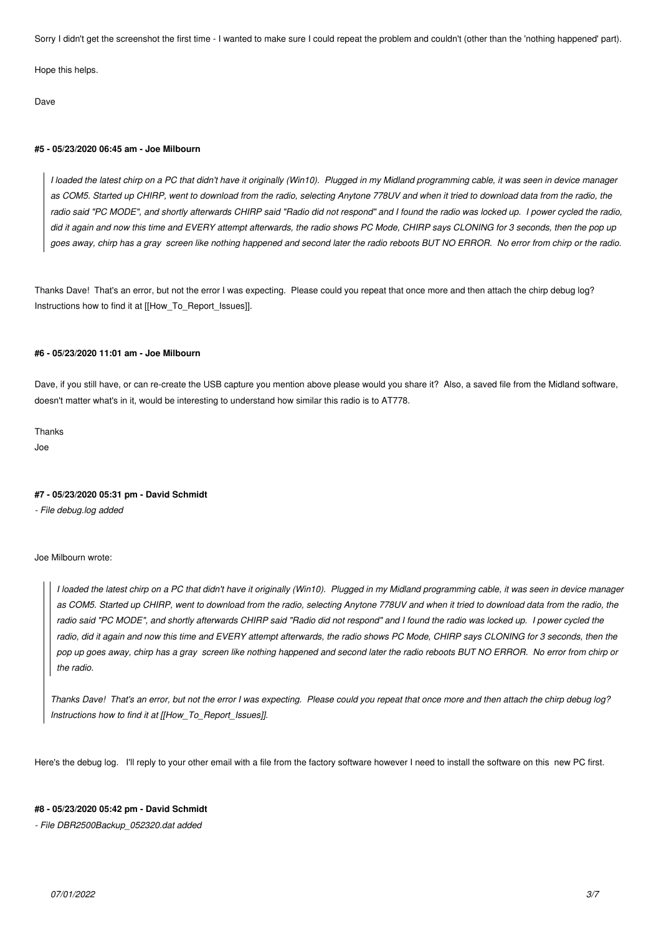*Sorry I didn't get the screenshot the first time - I wanted to make sure I could repeat the problem and couldn't (other than the 'nothing happened' part).*

*Hope this helps.*

*Dave*

### **#5 - 05/23/2020 06:45 am - Joe Milbourn**

*I loaded the latest chirp on a PC that didn't have it originally (Win10). Plugged in my Midland programming cable, it was seen in device manager as COM5. Started up CHIRP, went to download from the radio, selecting Anytone 778UV and when it tried to download data from the radio, the radio said "PC MODE", and shortly afterwards CHIRP said "Radio did not respond" and I found the radio was locked up. I power cycled the radio, did it again and now this time and EVERY attempt afterwards, the radio shows PC Mode, CHIRP says CLONING for 3 seconds, then the pop up goes away, chirp has a gray screen like nothing happened and second later the radio reboots BUT NO ERROR. No error from chirp or the radio.*

*Thanks Dave! That's an error, but not the error I was expecting. Please could you repeat that once more and then attach the chirp debug log? Instructions how to find it at [[How\_To\_Report\_Issues]].*

### **#6 - 05/23/2020 11:01 am - Joe Milbourn**

*Dave, if you still have, or can re-create the USB capture you mention above please would you share it? Also, a saved file from the Midland software, doesn't matter what's in it, would be interesting to understand how similar this radio is to AT778.*

*Thanks Joe*

## **#7 - 05/23/2020 05:31 pm - David Schmidt**

*- File debug.log added*

*Joe Milbourn wrote:*

*I loaded the latest chirp on a PC that didn't have it originally (Win10). Plugged in my Midland programming cable, it was seen in device manager as COM5. Started up CHIRP, went to download from the radio, selecting Anytone 778UV and when it tried to download data from the radio, the radio said "PC MODE", and shortly afterwards CHIRP said "Radio did not respond" and I found the radio was locked up. I power cycled the* radio, did it again and now this time and EVERY attempt afterwards, the radio shows PC Mode, CHIRP says CLONING for 3 seconds, then the *pop up goes away, chirp has a gray screen like nothing happened and second later the radio reboots BUT NO ERROR. No error from chirp or the radio.*

*Thanks Dave! That's an error, but not the error I was expecting. Please could you repeat that once more and then attach the chirp debug log? Instructions how to find it at [[How\_To\_Report\_Issues]].*

*Here's the debug log. I'll reply to your other email with a file from the factory software however I need to install the software on this new PC first.*

### **#8 - 05/23/2020 05:42 pm - David Schmidt**

*- File DBR2500Backup\_052320.dat added*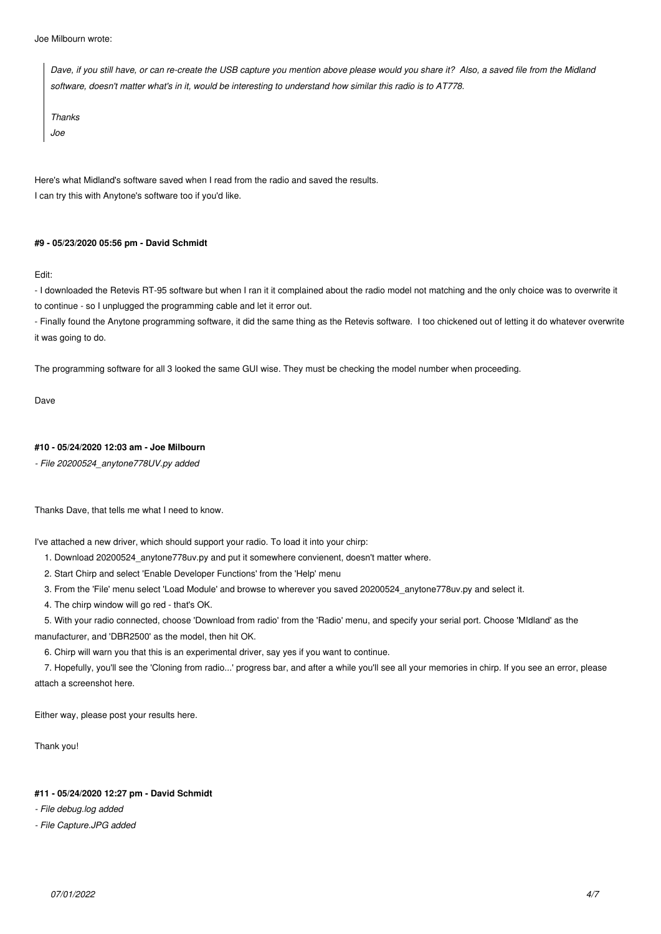*Joe Milbourn wrote:*

*Dave, if you still have, or can re-create the USB capture you mention above please would you share it? Also, a saved file from the Midland software, doesn't matter what's in it, would be interesting to understand how similar this radio is to AT778.*

*Thanks*

*Joe*

*Here's what Midland's software saved when I read from the radio and saved the results. I can try this with Anytone's software too if you'd like.*

# **#9 - 05/23/2020 05:56 pm - David Schmidt**

*Edit:*

*- I downloaded the Retevis RT-95 software but when I ran it it complained about the radio model not matching and the only choice was to overwrite it to continue - so I unplugged the programming cable and let it error out.*

*- Finally found the Anytone programming software, it did the same thing as the Retevis software. I too chickened out of letting it do whatever overwrite it was going to do.*

*The programming software for all 3 looked the same GUI wise. They must be checking the model number when proceeding.*

*Dave*

# **#10 - 05/24/2020 12:03 am - Joe Milbourn**

*- File 20200524\_anytone778UV.py added*

*Thanks Dave, that tells me what I need to know.*

*I've attached a new driver, which should support your radio. To load it into your chirp:*

 *1. Download 20200524\_anytone778uv.py and put it somewhere convienent, doesn't matter where.*

 *2. Start Chirp and select 'Enable Developer Functions' from the 'Help' menu*

 *3. From the 'File' menu select 'Load Module' and browse to wherever you saved 20200524\_anytone778uv.py and select it.*

 *4. The chirp window will go red - that's OK.*

 *5. With your radio connected, choose 'Download from radio' from the 'Radio' menu, and specify your serial port. Choose 'MIdland' as the manufacturer, and 'DBR2500' as the model, then hit OK.*

 *6. Chirp will warn you that this is an experimental driver, say yes if you want to continue.*

 *7. Hopefully, you'll see the 'Cloning from radio...' progress bar, and after a while you'll see all your memories in chirp. If you see an error, please attach a screenshot here.*

*Either way, please post your results here.*

*Thank you!*

## **#11 - 05/24/2020 12:27 pm - David Schmidt**

*- File debug.log added*

*- File Capture.JPG added*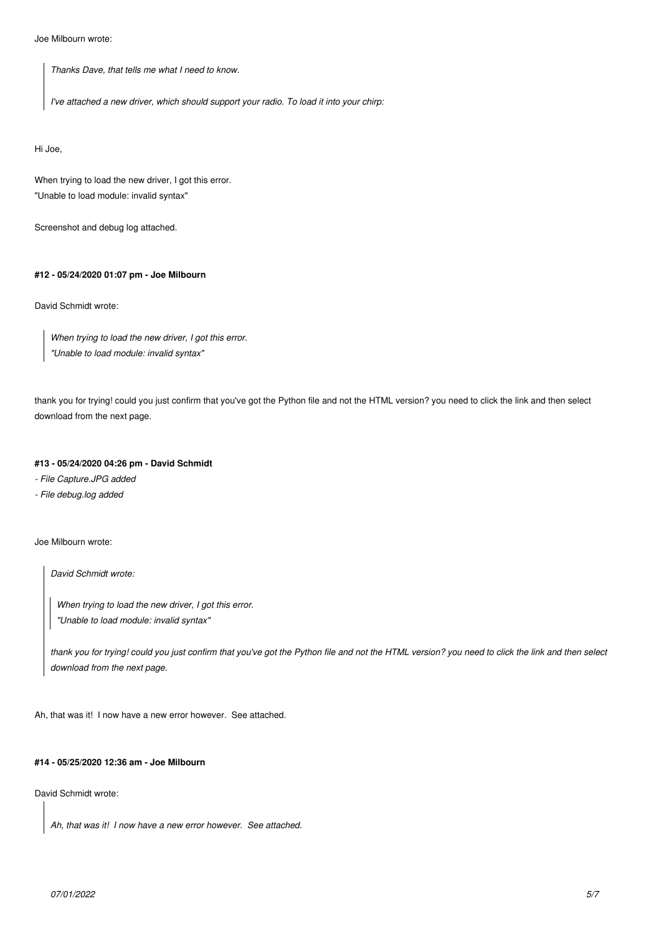*Joe Milbourn wrote:*

*Thanks Dave, that tells me what I need to know.*

*I've attached a new driver, which should support your radio. To load it into your chirp:*

*Hi Joe,*

*When trying to load the new driver, I got this error. "Unable to load module: invalid syntax"*

*Screenshot and debug log attached.*

# **#12 - 05/24/2020 01:07 pm - Joe Milbourn**

*David Schmidt wrote:*

*When trying to load the new driver, I got this error. "Unable to load module: invalid syntax"*

*thank you for trying! could you just confirm that you've got the Python file and not the HTML version? you need to click the link and then select download from the next page.*

## **#13 - 05/24/2020 04:26 pm - David Schmidt**

*- File Capture.JPG added*

*- File debug.log added*

*Joe Milbourn wrote:*

*David Schmidt wrote:*

*When trying to load the new driver, I got this error. "Unable to load module: invalid syntax"*

*thank you for trying! could you just confirm that you've got the Python file and not the HTML version? you need to click the link and then select download from the next page.*

*Ah, that was it! I now have a new error however. See attached.*

### **#14 - 05/25/2020 12:36 am - Joe Milbourn**

*David Schmidt wrote:*

*Ah, that was it! I now have a new error however. See attached.*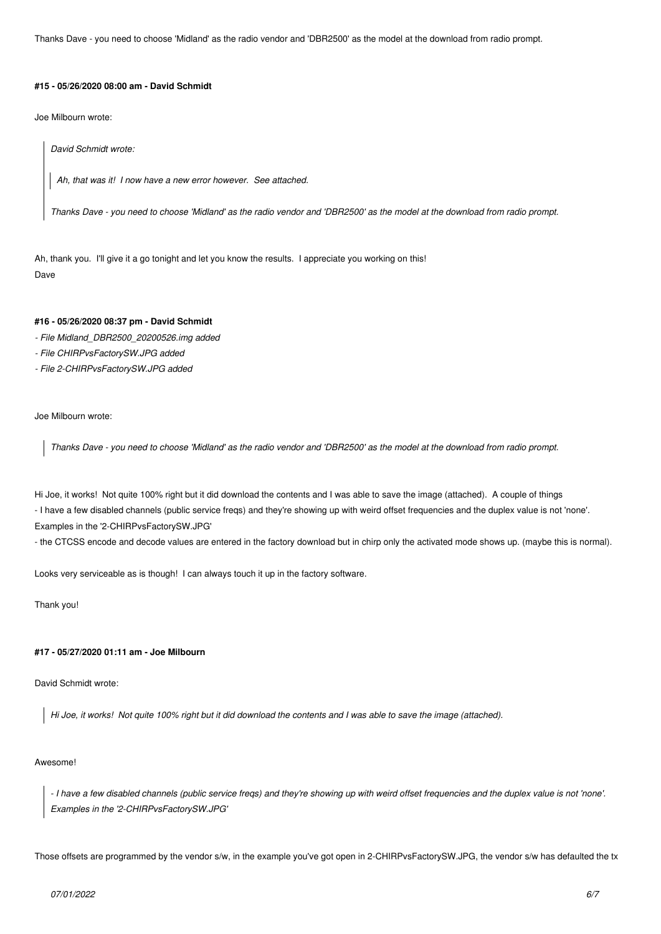*Thanks Dave - you need to choose 'Midland' as the radio vendor and 'DBR2500' as the model at the download from radio prompt.*

#### **#15 - 05/26/2020 08:00 am - David Schmidt**

*Joe Milbourn wrote:*

*David Schmidt wrote:*

*Ah, that was it! I now have a new error however. See attached.*

*Thanks Dave - you need to choose 'Midland' as the radio vendor and 'DBR2500' as the model at the download from radio prompt.*

*Ah, thank you. I'll give it a go tonight and let you know the results. I appreciate you working on this! Dave*

# **#16 - 05/26/2020 08:37 pm - David Schmidt**

- *File Midland\_DBR2500\_20200526.img added*
- *File CHIRPvsFactorySW.JPG added*
- *File 2-CHIRPvsFactorySW.JPG added*

*Joe Milbourn wrote:*

*Thanks Dave - you need to choose 'Midland' as the radio vendor and 'DBR2500' as the model at the download from radio prompt.*

*Hi Joe, it works! Not quite 100% right but it did download the contents and I was able to save the image (attached). A couple of things - I have a few disabled channels (public service freqs) and they're showing up with weird offset frequencies and the duplex value is not 'none'. Examples in the '2-CHIRPvsFactorySW.JPG'*

*- the CTCSS encode and decode values are entered in the factory download but in chirp only the activated mode shows up. (maybe this is normal).*

*Looks very serviceable as is though! I can always touch it up in the factory software.*

*Thank you!*

# **#17 - 05/27/2020 01:11 am - Joe Milbourn**

*David Schmidt wrote:*

*Hi Joe, it works! Not quite 100% right but it did download the contents and I was able to save the image (attached).*

#### *Awesome!*

*- I have a few disabled channels (public service freqs) and they're showing up with weird offset frequencies and the duplex value is not 'none'. Examples in the '2-CHIRPvsFactorySW.JPG'*

*Those offsets are programmed by the vendor s/w, in the example you've got open in 2-CHIRPvsFactorySW.JPG, the vendor s/w has defaulted the tx*